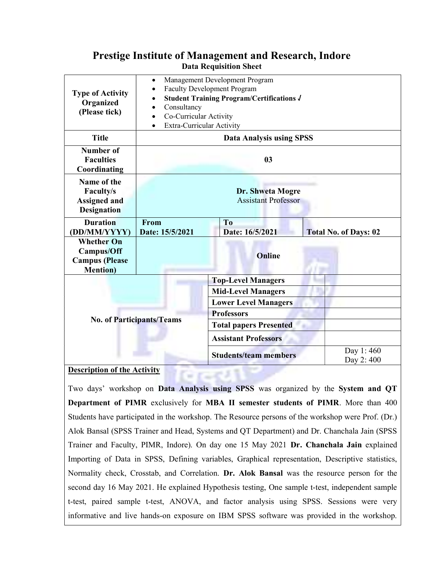## Prestige Institute of Management and Research, Indore Data Requisition Sheet

| <b>Type of Activity</b><br>Organized<br>(Please tick)                               | Management Development Program<br>$\bullet$<br><b>Faculty Development Program</b><br><b>Student Training Program/Certifications J</b><br>Consultancy<br>Co-Curricular Activity<br>Extra-Curricular Activity<br>$\bullet$ |                                   |                              |
|-------------------------------------------------------------------------------------|--------------------------------------------------------------------------------------------------------------------------------------------------------------------------------------------------------------------------|-----------------------------------|------------------------------|
| <b>Title</b>                                                                        | <b>Data Analysis using SPSS</b>                                                                                                                                                                                          |                                   |                              |
| <b>Number of</b><br><b>Faculties</b><br>Coordinating                                | 0 <sub>3</sub>                                                                                                                                                                                                           |                                   |                              |
| Name of the<br>Faculty/s<br><b>Assigned and</b><br><b>Designation</b>               | Dr. Shweta Mogre<br><b>Assistant Professor</b>                                                                                                                                                                           |                                   |                              |
| <b>Duration</b><br>(DD/MM/YYYY)                                                     | From<br>Date: 15/5/2021                                                                                                                                                                                                  | T <sub>0</sub><br>Date: 16/5/2021 | <b>Total No. of Days: 02</b> |
| <b>Whether On</b><br><b>Campus/Off</b><br><b>Campus</b> (Please<br><b>Mention</b> ) |                                                                                                                                                                                                                          | Online                            |                              |
|                                                                                     |                                                                                                                                                                                                                          | <b>Top-Level Managers</b>         |                              |
|                                                                                     |                                                                                                                                                                                                                          | <b>Mid-Level Managers</b>         |                              |
|                                                                                     |                                                                                                                                                                                                                          | <b>Lower Level Managers</b>       |                              |
|                                                                                     | <b>No. of Participants/Teams</b>                                                                                                                                                                                         | <b>Professors</b>                 |                              |
|                                                                                     |                                                                                                                                                                                                                          | <b>Total papers Presented</b>     |                              |
|                                                                                     |                                                                                                                                                                                                                          | <b>Assistant Professors</b>       |                              |
|                                                                                     |                                                                                                                                                                                                                          | <b>Students/team members</b>      | Day 1:460<br>Day 2:400       |

## **Description of the Activity**

Two days' workshop on Data Analysis using SPSS was organized by the System and QT Department of PIMR exclusively for MBA II semester students of PIMR. More than 400 Students have participated in the workshop. The Resource persons of the workshop were Prof. (Dr.) Alok Bansal (SPSS Trainer and Head, Systems and QT Department) and Dr. Chanchala Jain (SPSS Trainer and Faculty, PIMR, Indore). On day one 15 May 2021 Dr. Chanchala Jain explained Importing of Data in SPSS, Defining variables, Graphical representation, Descriptive statistics, Normality check, Crosstab, and Correlation. Dr. Alok Bansal was the resource person for the second day 16 May 2021. He explained Hypothesis testing, One sample t-test, independent sample t-test, paired sample t-test, ANOVA, and factor analysis using SPSS. Sessions were very informative and live hands-on exposure on IBM SPSS software was provided in the workshop.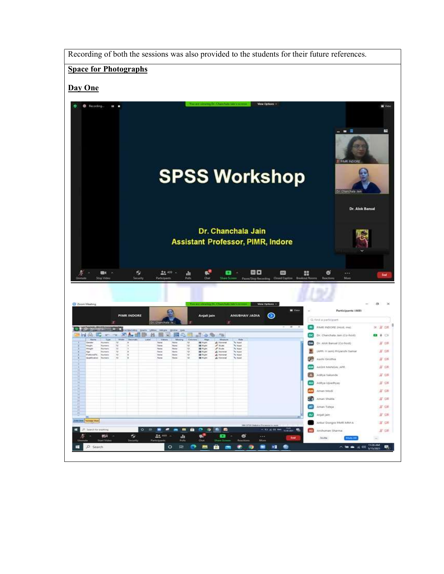Recording of both the sessions was also provided to the students for their future references.

## Space for Photographs

## Day One

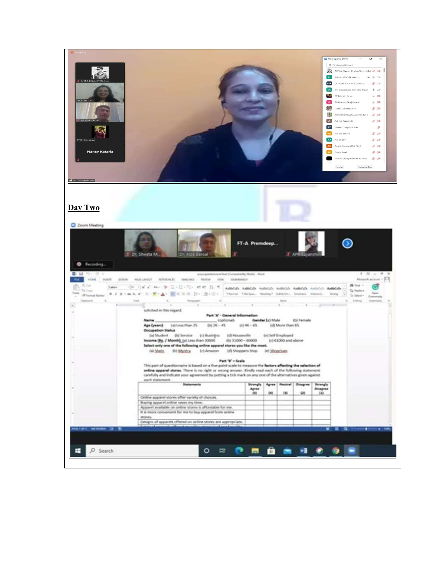